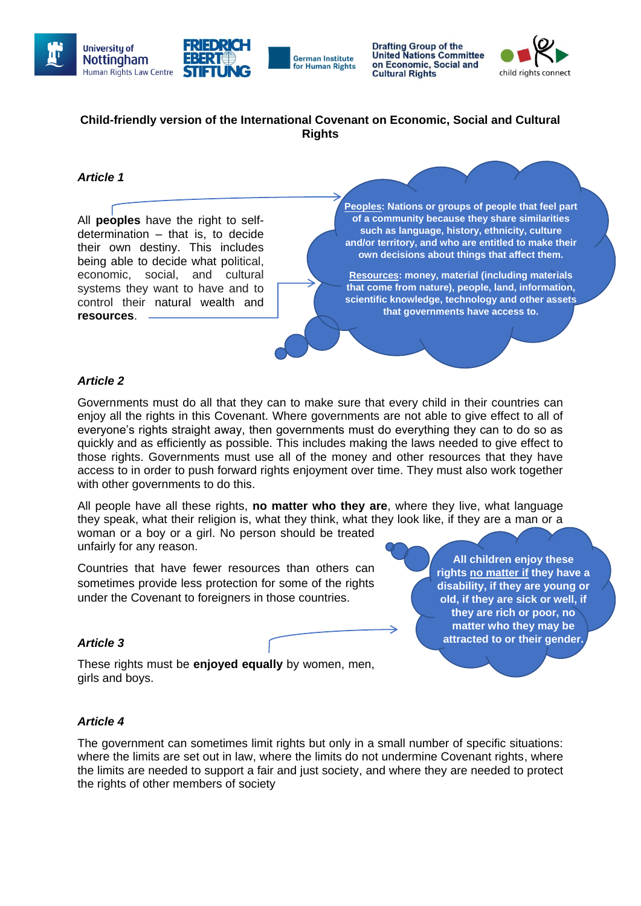



**Drafting Group of the United Nations Committee** on Economic, Social and **Cultural Rights** 



# **Child-friendly version of the International Covenant on Economic, Social and Cultural Rights**

## *Article 1*

All **peoples** have the right to selfdetermination – that is, to decide their own destiny. This includes being able to decide what political, economic, social, and cultural systems they want to have and to control their natural wealth and **resources**.

**Peoples: Nations or groups of people that feel part of a community because they share similarities such as language, history, ethnicity, culture and/or territory, and who are entitled to make their own decisions about things that affect them.**

**Resources: money, material (including materials that come from nature), people, land, information, scientific knowledge, technology and other assets that governments have access to.**

## *Article 2*

Governments must do all that they can to make sure that every child in their countries can enjoy all the rights in this Covenant. Where governments are not able to give effect to all of everyone's rights straight away, then governments must do everything they can to do so as quickly and as efficiently as possible. This includes making the laws needed to give effect to those rights. Governments must use all of the money and other resources that they have access to in order to push forward rights enjoyment over time. They must also work together with other governments to do this.

All people have all these rights, **no matter who they are**, where they live, what language they speak, what their religion is, what they think, what they look like, if they are a man or a woman or a boy or a girl. No person should be treated unfairly for any reason.

Countries that have fewer resources than others can sometimes provide less protection for some of the rights under the Covenant to foreigners in those countries.

#### **All children enjoy these rights [no matter if](file:///C:/Users/llzan1/OneDrive%20-%20The%20University%20of%20Nottingham/Fiadh%20school/4a60961f2.pdf) they have a disability, if they are young or old, if they are sick or well, if they are rich or poor, no matter who they may be attracted to or their gender.**

**they identify with (boy, girl or** 

## *Article 3*

These rights must be **enjoyed equally** by women, men, girls and boys.

## *Article 4*

The government can sometimes limit rights but only in a small number of specific situations: where the limits are set out in law, where the limits do not undermine Covenant rights, where the limits are needed to support a fair and just society, and where they are needed to protect the rights of other members of society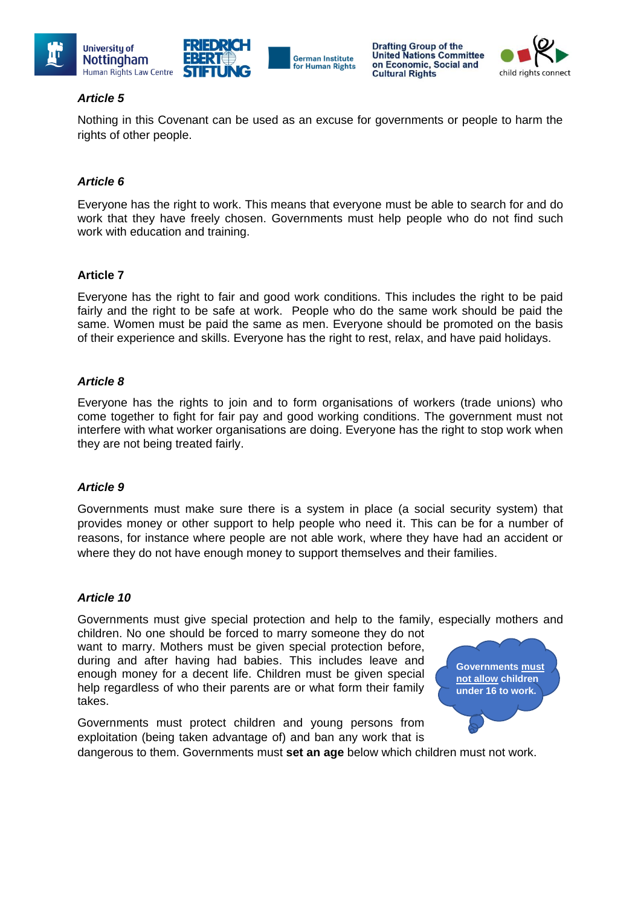





## *Article 5*

Nothing in this Covenant can be used as an excuse for governments or people to harm the rights of other people.

**German Institute** 

for Human Rights

## *Article 6*

Everyone has the right to work. This means that everyone must be able to search for and do work that they have freely chosen. Governments must help people who do not find such work with education and training.

## **Article 7**

Everyone has the right to fair and good work conditions. This includes the right to be paid fairly and the right to be safe at work. People who do the same work should be paid the same. Women must be paid the same as men. Everyone should be promoted on the basis of their experience and skills. Everyone has the right to rest, relax, and have paid holidays.

## *Article 8*

Everyone has the rights to join and to form organisations of workers (trade unions) who come together to fight for fair pay and good working conditions. The government must not interfere with what worker organisations are doing. Everyone has the right to stop work when they are not being treated fairly.

#### *Article 9*

Governments must make sure there is a system in place (a social security system) that provides money or other support to help people who need it. This can be for a number of reasons, for instance where people are not able work, where they have had an accident or where they do not have enough money to support themselves and their families.

#### *Article 10*

Governments must give special protection and help to the family, especially mothers and

children. No one should be forced to marry someone they do not want to marry. Mothers must be given special protection before, during and after having had babies. This includes leave and enough money for a decent life. Children must be given special help regardless of who their parents are or what form their family takes.

**Governments [must](http://docstore.ohchr.org/SelfServices/FilesHandler.ashx?enc=4slQ6QSmlBEDzFEovLCuW1a0Szab0oXTdImnsJZZVQfUKxXVisd7Dae%2FCu%2B13J25Nha7l9NlwYZ%2FTmK57O%2FSr7TB2hbCAidyVu5x7XcqjNXn44LZ52C%2BIkX8AGQrVyIc)  [not allow](http://docstore.ohchr.org/SelfServices/FilesHandler.ashx?enc=4slQ6QSmlBEDzFEovLCuW1a0Szab0oXTdImnsJZZVQfUKxXVisd7Dae%2FCu%2B13J25Nha7l9NlwYZ%2FTmK57O%2FSr7TB2hbCAidyVu5x7XcqjNXn44LZ52C%2BIkX8AGQrVyIc) children under 16 to work.**

Governments must protect children and young persons from exploitation (being taken advantage of) and ban any work that is

dangerous to them. Governments must **set an age** below which children must not work.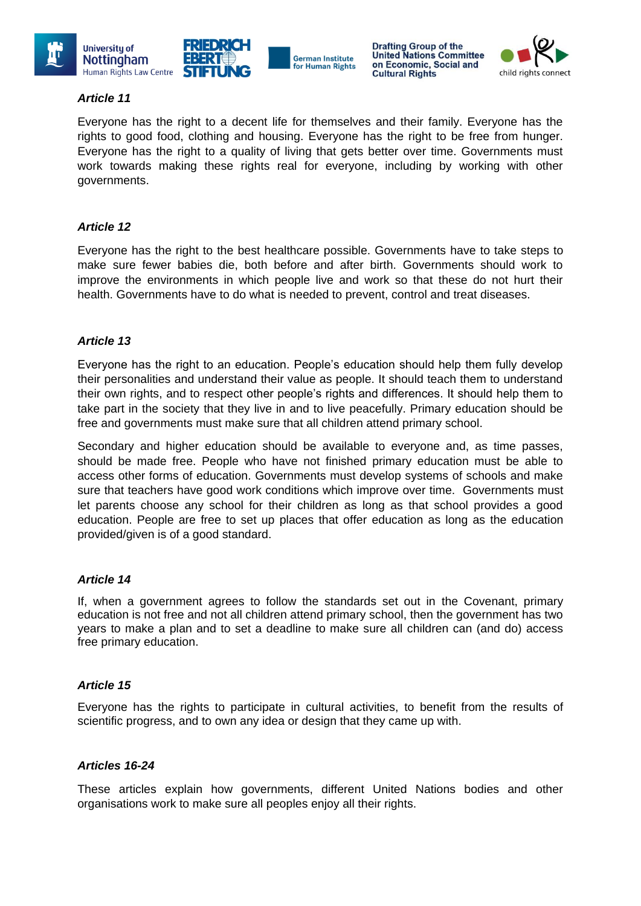



# *Article 11*

Everyone has the right to a decent life for themselves and their family. Everyone has the rights to good food, clothing and housing. Everyone has the right to be free from hunger. Everyone has the right to a quality of living that gets better over time. Governments must work towards making these rights real for everyone, including by working with other governments.

**German Institute** 

for Human Rights

## *Article 12*

Everyone has the right to the best healthcare possible. Governments have to take steps to make sure fewer babies die, both before and after birth. Governments should work to improve the environments in which people live and work so that these do not hurt their health. Governments have to do what is needed to prevent, control and treat diseases.

## *Article 13*

Everyone has the right to an education. People's education should help them fully develop their personalities and understand their value as people. It should teach them to understand their own rights, and to respect other people's rights and differences. It should help them to take part in the society that they live in and to live peacefully. Primary education should be free and governments must make sure that all children attend primary school.

Secondary and higher education should be available to everyone and, as time passes, should be made free. People who have not finished primary education must be able to access other forms of education. Governments must develop systems of schools and make sure that teachers have good work conditions which improve over time. Governments must let parents choose any school for their children as long as that school provides a good education. People are free to set up places that offer education as long as the education provided/given is of a good standard.

#### *Article 14*

If, when a government agrees to follow the standards set out in the Covenant, primary education is not free and not all children attend primary school, then the government has two years to make a plan and to set a deadline to make sure all children can (and do) access free primary education.

#### *Article 15*

Everyone has the rights to participate in cultural activities, to benefit from the results of scientific progress, and to own any idea or design that they came up with.

#### *Articles 16-24*

These articles explain how governments, different United Nations bodies and other organisations work to make sure all peoples enjoy all their rights.